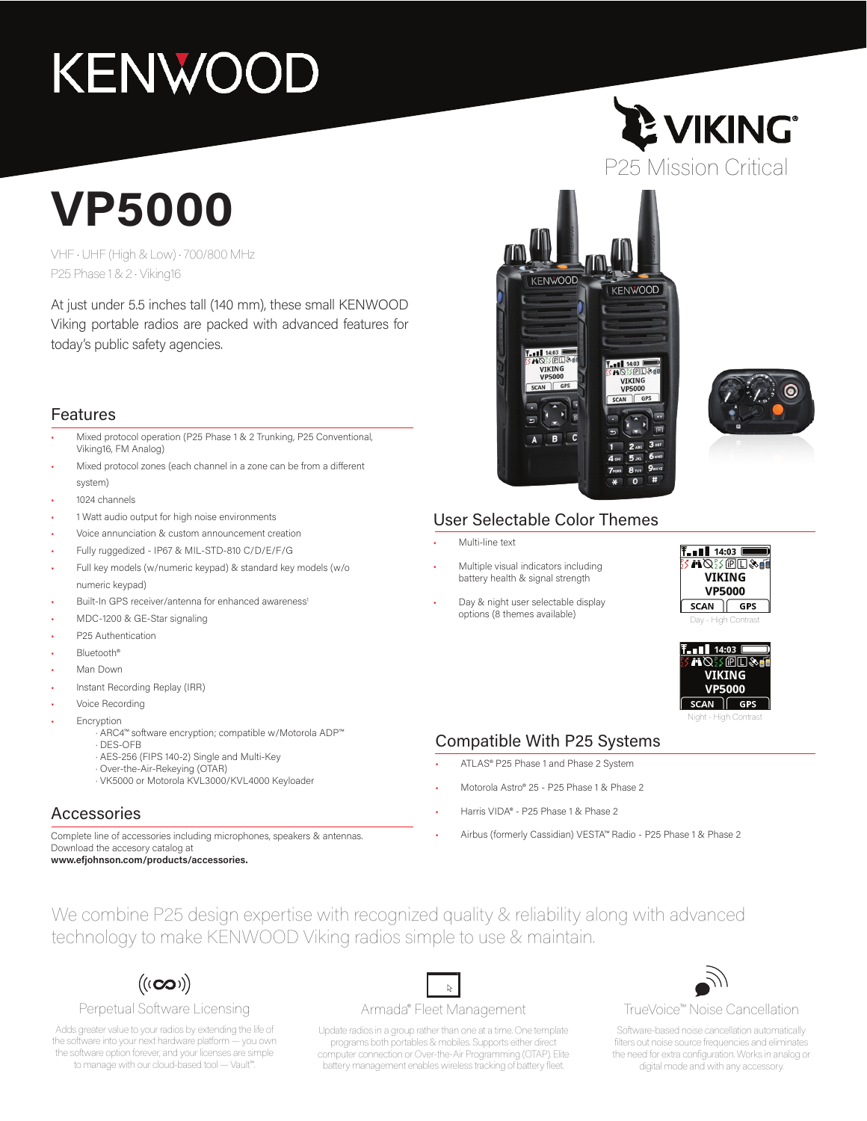# **KENWOOD**

## **VP5000**

VHF • UHF (High & Low) • 700/800 MHz P25 Phase 1 & 2 • Viking16

At just under 5.5 inches tall (140 mm), these small KENWOOD Viking portable radios are packed with advanced features for today's public safety agencies.

#### Features

- Mixed protocol operation (P25 Phase 1 & 2 Trunking, P25 Conventional, Viking16, FM Analog)
- Mixed protocol zones (each channel in a zone can be from a different system)
- 1024 channels
- 1 Watt audio output for high noise environments
- Voice annunciation & custom announcement creation
- Fully ruggedized IP67 & MIL-STD-810 C/D/E/F/G
- Full key models (w/numeric keypad) & standard key models (w/o numeric keypad)
- Built-In GPS receiver/antenna for enhanced awareness<sup>1</sup>
- MDC-1200 & GE-Star signaling
- P25 Authentication
- Bluetooth®
- Man Down
- Instant Recording Replay (IRR)
- Voice Recording
- **Encryption** 
	- · ARC4™ software encryption; compatible w/Motorola ADP™ · DES-OFB
	- · AES-256 (FIPS 140-2) Single and Multi-Key
	- · Over-the-Air-Rekeying (OTAR)
	- · VK5000 or Motorola KVL3000/KVL4000 Keyloader

#### Accessories

Complete line of accessories including microphones, speakers & antennas. Download the accesory catalog at

**www.efjohnson.com/products/accessories.**







#### User Selectable Color Themes

- Multi-line text
- Multiple visual indicators including battery health & signal strength
- Day & night user selectable display options (8 themes available)





#### Compatible With P25 Systems

- ATLAS® P25 Phase 1 and Phase 2 System
- Motorola Astro® 25 P25 Phase 1 & Phase 2
- Harris VIDA® P25 Phase 1 & Phase 2
- Airbus (formerly Cassidian) VESTA™ Radio P25 Phase 1 & Phase 2

We combine P25 design expertise with recognized quality & reliability along with advanced technology to make KENWOOD Viking radios simple to use & maintain.

 $((\mathbf{co}))$ 

#### Perpetual Software Licensing

Adds greater value to your radios by extending the life of the software into your next hardware platform — you own the software option forever, and your licenses are simple to manage with our cloud-based tool — Vault™.

#### Armada® Fleet Management

 $\mathbb{Z}$ 

Update radios in a group rather than one at a time. One template programs both portables & mobiles. Supports either direct computer connection or Over-the-Air Programming (OTAP). Elite battery management enables wireless tracking of battery fleet.



#### TrueVoice™ Noise Cancellation

Software-based noise cancellation automatically filters out noise source frequencies and eliminates the need for extra configuration. Works in analog or digital mode and with any accessory.